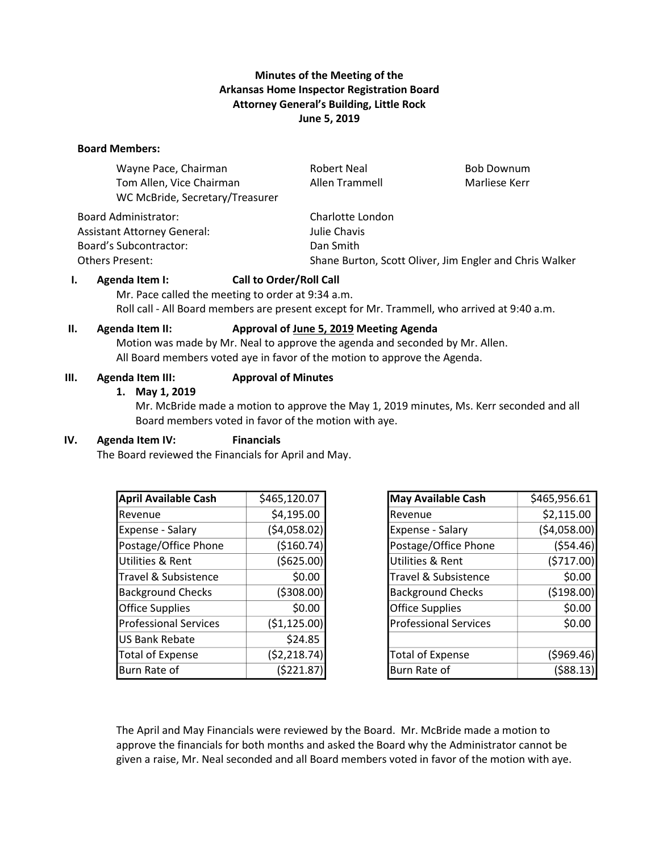# **Minutes of the Meeting of the Arkansas Home Inspector Registration Board Attorney General's Building, Little Rock June 5, 2019**

#### **Board Members:**

| Wayne Pace, Chairman               | <b>Robert Neal</b>                                      | <b>Bob Downum</b> |  |
|------------------------------------|---------------------------------------------------------|-------------------|--|
| Tom Allen, Vice Chairman           | Allen Trammell                                          | Marliese Kerr     |  |
| WC McBride, Secretary/Treasurer    |                                                         |                   |  |
| <b>Board Administrator:</b>        | Charlotte London                                        |                   |  |
| <b>Assistant Attorney General:</b> | Julie Chavis                                            |                   |  |
| <b>Board's Subcontractor:</b>      | Dan Smith                                               |                   |  |
| Others Present:                    | Shane Burton, Scott Oliver, Jim Engler and Chris Walker |                   |  |

### **I. Agenda Item I: Call to Order/Roll Call**

Mr. Pace called the meeting to order at 9:34 a.m. Roll call - All Board members are present except for Mr. Trammell, who arrived at 9:40 a.m.

### **II. Agenda Item II: Approval of June 5, 2019 Meeting Agenda**

Motion was made by Mr. Neal to approve the agenda and seconded by Mr. Allen. All Board members voted aye in favor of the motion to approve the Agenda.

#### **III. Agenda Item III: Approval of Minutes**

#### **1. May 1, 2019**

Mr. McBride made a motion to approve the May 1, 2019 minutes, Ms. Kerr seconded and all Board members voted in favor of the motion with aye.

## **IV. Agenda Item IV: Financials**

The Board reviewed the Financials for April and May.

| <b>April Available Cash</b>  | \$465,120.07   |
|------------------------------|----------------|
| Revenue                      | \$4,195.00     |
| Expense - Salary             | (54,058.02)    |
| Postage/Office Phone         | (\$160.74)     |
| Utilities & Rent             | ( \$625.00)    |
| Travel & Subsistence         | \$0.00         |
| <b>Background Checks</b>     | (5308.00)      |
| <b>Office Supplies</b>       | \$0.00         |
| <b>Professional Services</b> | (\$1,125.00)   |
| <b>US Bank Rebate</b>        | \$24.85        |
| <b>Total of Expense</b>      | ( \$2, 218.74) |
| Burn Rate of                 | (5221.87       |

| <b>May Available Cash</b>    | \$465,956.61 |  |  |
|------------------------------|--------------|--|--|
| Revenue                      | \$2,115.00   |  |  |
| Expense - Salary             | (54,058.00)  |  |  |
| Postage/Office Phone         | (554.46)     |  |  |
| Utilities & Rent             | (5717.00)    |  |  |
| Travel & Subsistence         | \$0.00       |  |  |
| <b>Background Checks</b>     | ( \$198.00)  |  |  |
| <b>Office Supplies</b>       | \$0.00       |  |  |
| <b>Professional Services</b> | \$0.00       |  |  |
|                              |              |  |  |
| <b>Total of Expense</b>      | (5969.46)    |  |  |
| Burn Rate of                 | ( \$88.13    |  |  |

The April and May Financials were reviewed by the Board. Mr. McBride made a motion to approve the financials for both months and asked the Board why the Administrator cannot be given a raise, Mr. Neal seconded and all Board members voted in favor of the motion with aye.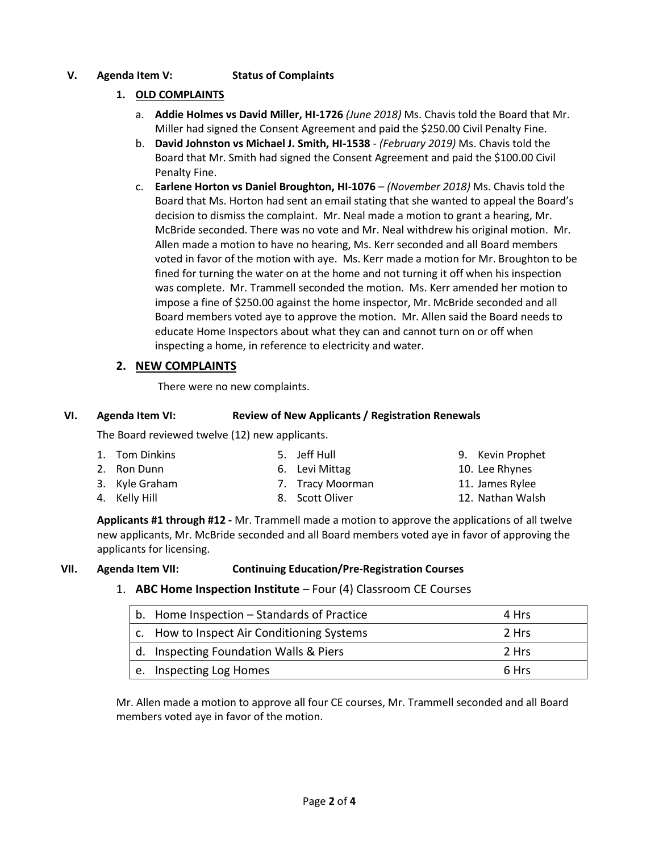# **V. Agenda Item V: Status of Complaints**

# **1. OLD COMPLAINTS**

- a. **Addie Holmes vs David Miller, HI-1726** *(June 2018)* Ms. Chavis told the Board that Mr. Miller had signed the Consent Agreement and paid the \$250.00 Civil Penalty Fine.
- b. **David Johnston vs Michael J. Smith, HI-1538** *(February 2019)* Ms. Chavis told the Board that Mr. Smith had signed the Consent Agreement and paid the \$100.00 Civil Penalty Fine.
- c. **Earlene Horton vs Daniel Broughton, HI-1076**  *(November 2018)* Ms. Chavis told the Board that Ms. Horton had sent an email stating that she wanted to appeal the Board's decision to dismiss the complaint. Mr. Neal made a motion to grant a hearing, Mr. McBride seconded. There was no vote and Mr. Neal withdrew his original motion. Mr. Allen made a motion to have no hearing, Ms. Kerr seconded and all Board members voted in favor of the motion with aye. Ms. Kerr made a motion for Mr. Broughton to be fined for turning the water on at the home and not turning it off when his inspection was complete. Mr. Trammell seconded the motion. Ms. Kerr amended her motion to impose a fine of \$250.00 against the home inspector, Mr. McBride seconded and all Board members voted aye to approve the motion. Mr. Allen said the Board needs to educate Home Inspectors about what they can and cannot turn on or off when inspecting a home, in reference to electricity and water.

# **2. NEW COMPLAINTS**

There were no new complaints.

### **VI. Agenda Item VI: Review of New Applicants / Registration Renewals**

The Board reviewed twelve (12) new applicants.

| 1. Tom Dinkins | 5. Jeff Hull     | 9. Kevin Prophet |
|----------------|------------------|------------------|
| 2. Ron Dunn    | 6. Levi Mittag   | 10. Lee Rhynes   |
| 3. Kyle Graham | 7. Tracy Moorman | 11. James Rylee  |
| 4. Kelly Hill  | 8. Scott Oliver  | 12. Nathan Walsh |
|                |                  |                  |

**Applicants #1 through #12 -** Mr. Trammell made a motion to approve the applications of all twelve new applicants, Mr. McBride seconded and all Board members voted aye in favor of approving the applicants for licensing.

## **VII. Agenda Item VII: Continuing Education/Pre-Registration Courses**

1. **ABC Home Inspection Institute** – Four (4) Classroom CE Courses

| b. Home Inspection - Standards of Practice | 4 Hrs |
|--------------------------------------------|-------|
| c. How to Inspect Air Conditioning Systems | 2 Hrs |
| d. Inspecting Foundation Walls & Piers     | 2 Hrs |
| e. Inspecting Log Homes                    | 6 Hrs |

Mr. Allen made a motion to approve all four CE courses, Mr. Trammell seconded and all Board members voted aye in favor of the motion.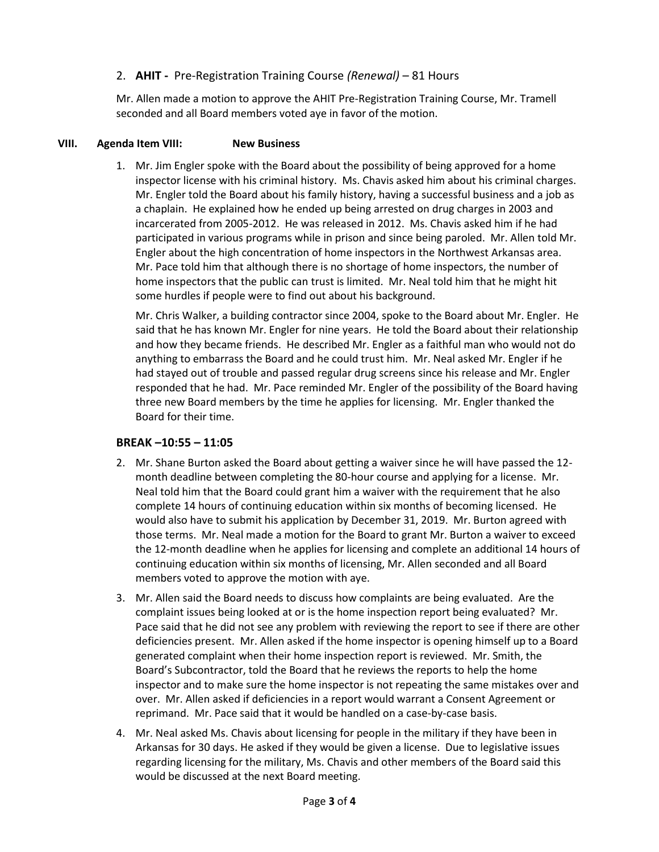# 2. **AHIT -** Pre-Registration Training Course *(Renewal)* – 81 Hours

Mr. Allen made a motion to approve the AHIT Pre-Registration Training Course, Mr. Tramell seconded and all Board members voted aye in favor of the motion.

## **VIII. Agenda Item VIII: New Business**

1. Mr. Jim Engler spoke with the Board about the possibility of being approved for a home inspector license with his criminal history. Ms. Chavis asked him about his criminal charges. Mr. Engler told the Board about his family history, having a successful business and a job as a chaplain. He explained how he ended up being arrested on drug charges in 2003 and incarcerated from 2005-2012. He was released in 2012. Ms. Chavis asked him if he had participated in various programs while in prison and since being paroled. Mr. Allen told Mr. Engler about the high concentration of home inspectors in the Northwest Arkansas area. Mr. Pace told him that although there is no shortage of home inspectors, the number of home inspectors that the public can trust is limited. Mr. Neal told him that he might hit some hurdles if people were to find out about his background.

Mr. Chris Walker, a building contractor since 2004, spoke to the Board about Mr. Engler. He said that he has known Mr. Engler for nine years. He told the Board about their relationship and how they became friends. He described Mr. Engler as a faithful man who would not do anything to embarrass the Board and he could trust him. Mr. Neal asked Mr. Engler if he had stayed out of trouble and passed regular drug screens since his release and Mr. Engler responded that he had. Mr. Pace reminded Mr. Engler of the possibility of the Board having three new Board members by the time he applies for licensing. Mr. Engler thanked the Board for their time.

# **BREAK –10:55 – 11:05**

- 2. Mr. Shane Burton asked the Board about getting a waiver since he will have passed the 12 month deadline between completing the 80-hour course and applying for a license. Mr. Neal told him that the Board could grant him a waiver with the requirement that he also complete 14 hours of continuing education within six months of becoming licensed. He would also have to submit his application by December 31, 2019. Mr. Burton agreed with those terms. Mr. Neal made a motion for the Board to grant Mr. Burton a waiver to exceed the 12-month deadline when he applies for licensing and complete an additional 14 hours of continuing education within six months of licensing, Mr. Allen seconded and all Board members voted to approve the motion with aye.
- 3. Mr. Allen said the Board needs to discuss how complaints are being evaluated. Are the complaint issues being looked at or is the home inspection report being evaluated? Mr. Pace said that he did not see any problem with reviewing the report to see if there are other deficiencies present. Mr. Allen asked if the home inspector is opening himself up to a Board generated complaint when their home inspection report is reviewed. Mr. Smith, the Board's Subcontractor, told the Board that he reviews the reports to help the home inspector and to make sure the home inspector is not repeating the same mistakes over and over. Mr. Allen asked if deficiencies in a report would warrant a Consent Agreement or reprimand. Mr. Pace said that it would be handled on a case-by-case basis.
- 4. Mr. Neal asked Ms. Chavis about licensing for people in the military if they have been in Arkansas for 30 days. He asked if they would be given a license. Due to legislative issues regarding licensing for the military, Ms. Chavis and other members of the Board said this would be discussed at the next Board meeting.